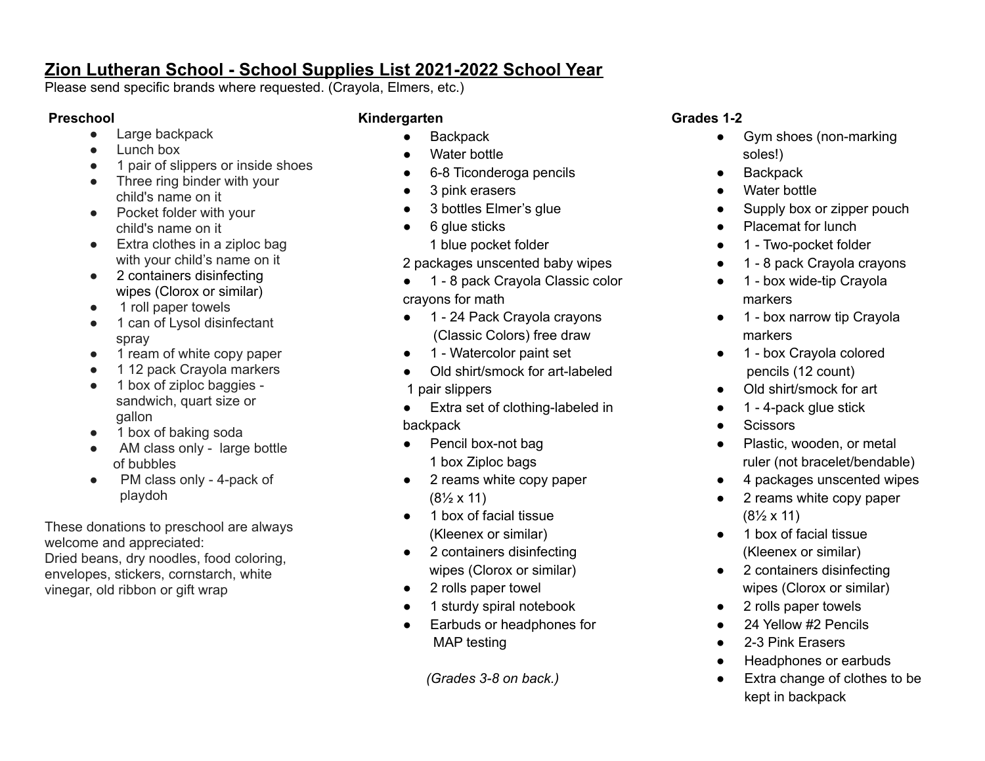# **Zion Lutheran School - School Supplies List 2021-2022 School Year**

Please send specific brands where requested. (Crayola, Elmers, etc.)

## **Preschool**

- Large backpack
- Lunch box
- 1 pair of slippers or inside shoes
- Three ring binder with your child's name on it
- Pocket folder with your child's name on it
- Extra clothes in a ziploc bag with your child's name on it
- 2 containers disinfecting wipes (Clorox or similar)
- 1 roll paper towels
- 1 can of Lysol disinfectant spray
- 1 ream of white copy paper
- 1 12 pack Crayola markers
- 1 box of ziploc baggies sandwich, quart size or gallon
- 1 box of baking soda
- AM class only large bottle of bubbles
- PM class only 4-pack of playdoh

These donations to preschool are always welcome and appreciated: Dried beans, dry noodles, food coloring, envelopes, stickers, cornstarch, white vinegar, old ribbon or gift wrap

### **Kindergarten**

- Backpack
- Water bottle
- 6-8 Ticonderoga pencils
- 3 pink erasers
- 3 bottles Elmer's glue
- 6 glue sticks
	- 1 blue pocket folder
- 2 packages unscented baby wipes
- 1 8 pack Crayola Classic color crayons for math
- 1 24 Pack Crayola crayons (Classic Colors) free draw
- 1 Watercolor paint set
- Old shirt/smock for art-labeled 1 pair slippers
- Extra set of clothing-labeled in backpack
- Pencil box-not bag 1 box Ziploc bags
- 2 reams white copy paper  $(8\frac{1}{2} \times 11)$
- 1 box of facial tissue (Kleenex or similar)
- 2 containers disinfecting wipes (Clorox or similar)
- 2 rolls paper towel
- 1 sturdy spiral notebook
- Earbuds or headphones for MAP testing

*(Grades 3-8 on back.)*

### **Grades 1-2**

- Gym shoes (non-marking soles!)
- **Backpack**
- Water bottle
- Supply box or zipper pouch
- Placemat for lunch
- 1 Two-pocket folder
- 1 8 pack Crayola crayons
- 1 box wide-tip Crayola markers
- 1 box narrow tip Crayola markers
- 1 box Crayola colored pencils (12 count)
- Old shirt/smock for art
- 1 4-pack glue stick
- **Scissors**
- Plastic, wooden, or metal ruler (not bracelet/bendable)
- 4 packages unscented wipes
- 2 reams white copy paper  $(8\frac{1}{2} \times 11)$
- 1 box of facial tissue (Kleenex or similar)
- 2 containers disinfecting wipes (Clorox or similar)
- 2 rolls paper towels
- 24 Yellow #2 Pencils
- 2-3 Pink Erasers
- **Headphones or earbuds**
- Extra change of clothes to be kept in backpack